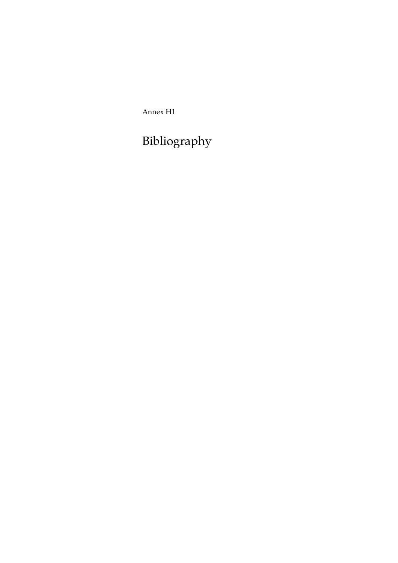Annex H1

Bibliography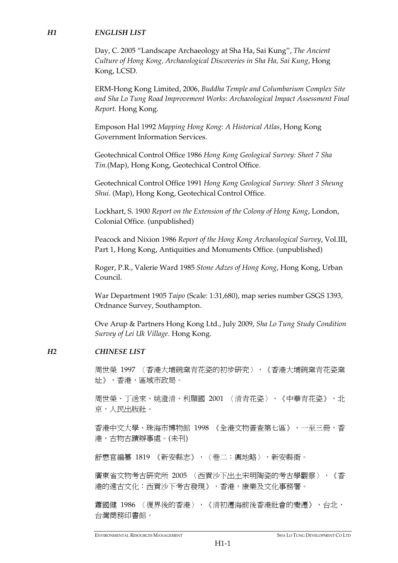## *H1 ENGLISH LIST*

Day, C. 2005 "Landscape Archaeology at Sha Ha, Sai Kung", *The Ancient Culture of Hong Kong, Archaeological Discoveries in Sha Ha, Sai Kung*, Hong Kong, LCSD.

ERM-Hong Kong Limited, 2006, *Buddha Temple and Columbarium Complex Site and Sha Lo Tung Road Improvement Works: Archaeological Impact Assessment Final Report.* Hong Kong.

Emposon Hal 1992 *Mapping Hong Kong: A Historical Atlas*, Hong Kong Government Information Services.

Geotechnical Control Office 1986 *Hong Kong Geological Survey: Sheet 7 Sha Tin.*(Map), Hong Kong, Geotechical Control Office.

Geotechnical Control Office 1991 *Hong Kong Geological Survey: Sheet 3 Sheung Shui*. (Map), Hong Kong, Geotechical Control Office.

Lockhart, S. 1900 *Report on the Extension of the Colony of Hong Kong*, London, Colonial Office. (unpublished)

Peacock and Nixion 1986 *Report of the Hong Kong Archaeological Survey*, Vol.III, Part 1, Hong Kong, Antiquities and Monuments Office. (unpublished)

Roger, P.R., Valerie Ward 1985 *Stone Adzes of Hong Kong*, Hong Kong, Urban Council.

War Department 1905 *Taipo* (Scale: 1:31,680), map series number GSGS 1393, Ordnance Survey, Southampton.

Ove Arup & Partners Hong Kong Ltd., July 2009, *Sha Lo Tung Study Condition Survey of Lei Uk Village*. Hong Kong.

## *H2 CHINESE LIST*

周世榮 1997 〈香港大埔碗窯青花瓷的初步研究〉,《香港大埔碗窯青花瓷窯 址》,香港,區域市政局。

周世榮、丁送來、姚澄清、利顯國 2001 〈清青花瓷〉,《中華青花瓷》,北 京,人民出版社。

香港中文大學、珠海市博物館 1998 《全港文物普查第七區》,一至三冊,香 港,古物古蹟辦事處。(未刊)

舒懋官編纂 1819 《新安縣志》,〈卷二:輿地略〉,新安縣衙。

廣東省文物考古研究所 2005 〈西貢沙下出土宋明陶瓷的考古學觀察〉,《香 港的遠古文化:西貢沙下考古發現》,香港,康樂及文化事務署。

蕭國健 1986 〈復界後的香港〉,《清初遷海前後香港社會的變遷》,台北, 台灣商務印書館。